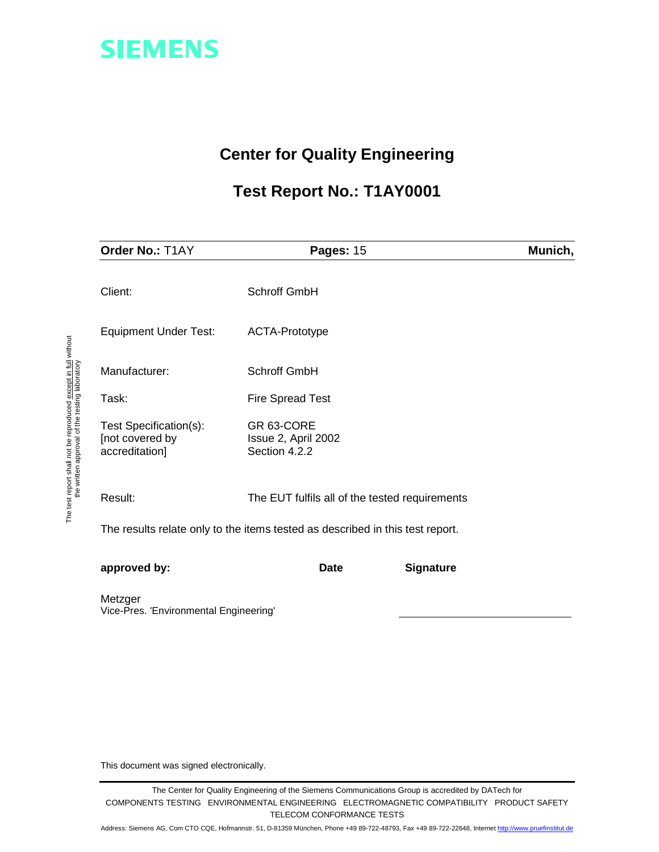

# **Center for Quality Engineering**

# **Test Report No.: T1AY0001**

| Order No.: T1AY                                             | <b>Pages: 15</b>                                                              |                  | Munich, |
|-------------------------------------------------------------|-------------------------------------------------------------------------------|------------------|---------|
| Client:                                                     | Schroff GmbH                                                                  |                  |         |
| <b>Equipment Under Test:</b>                                | <b>ACTA-Prototype</b>                                                         |                  |         |
| Manufacturer:                                               | Schroff GmbH                                                                  |                  |         |
| Task:                                                       | <b>Fire Spread Test</b>                                                       |                  |         |
| Test Specification(s):<br>[not covered by<br>accreditation] | GR 63-CORE<br>Issue 2, April 2002<br>Section 4.2.2                            |                  |         |
| Result:                                                     | The EUT fulfils all of the tested requirements                                |                  |         |
|                                                             | The results relate only to the items tested as described in this test report. |                  |         |
| approved by:                                                | <b>Date</b>                                                                   | <b>Signature</b> |         |
| Metzger<br>Vice-Pres. 'Environmental Engineering'           |                                                                               |                  |         |

This document was signed electronically.

The Center for Quality Engineering of the Siemens Communications Group is accredited by DATech for COMPONENTS TESTING ENVIRONMENTAL ENGINEERING ELECTROMAGNETIC COMPATIBILITY PRODUCT SAFETY TELECOM CONFORMANCE TESTS

Address: Siemens AG, Com CTO CQE, Hofmannstr. 51, D-81359 München, Phone +49 89-722-48793, Fax +49 89-722-22648, Internet http://www.pruefinstitut.de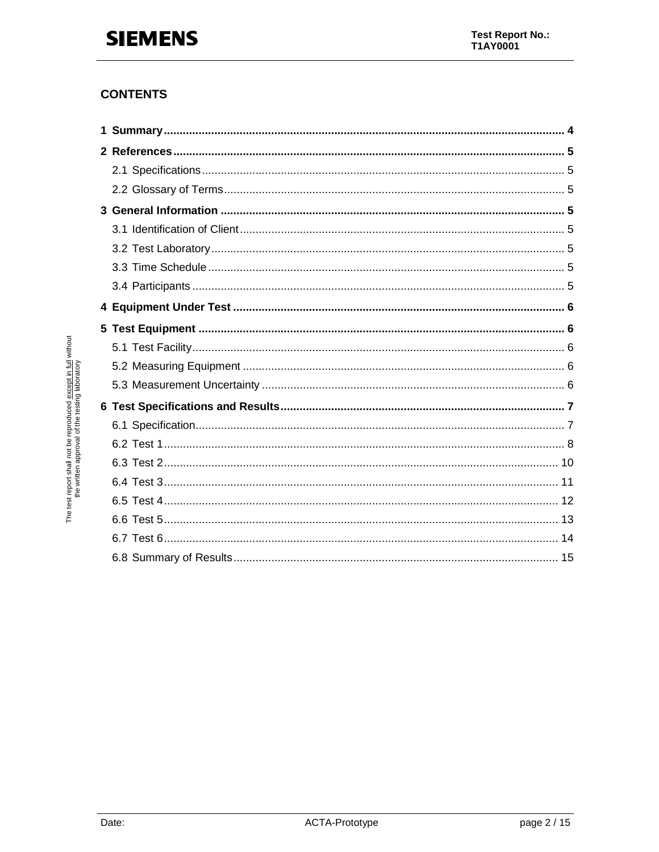### **CONTENTS**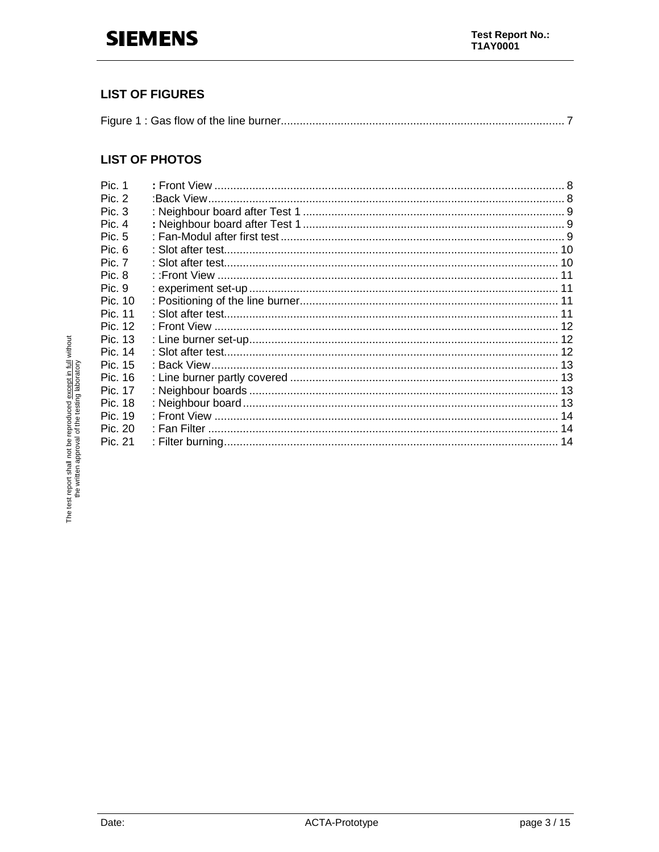### **LIST OF FIGURES**

### **LIST OF PHOTOS**

| Pic 1          |  |
|----------------|--|
| Pic. 2         |  |
| Pic. $3$       |  |
| Pic. 4         |  |
| Pic. $5$       |  |
| Pic. $6$       |  |
| Pic. 7         |  |
| Pic. 8         |  |
| Pic. 9         |  |
| Pic. 10        |  |
| <b>Pic. 11</b> |  |
| Pic. 12        |  |
| Pic. 13        |  |
| Pic. 14        |  |
| Pic. 15        |  |
| Pic. 16        |  |
| Pic. 17        |  |
| Pic. 18        |  |
| Pic. 19        |  |
| Pic. 20        |  |
| Pic. 21        |  |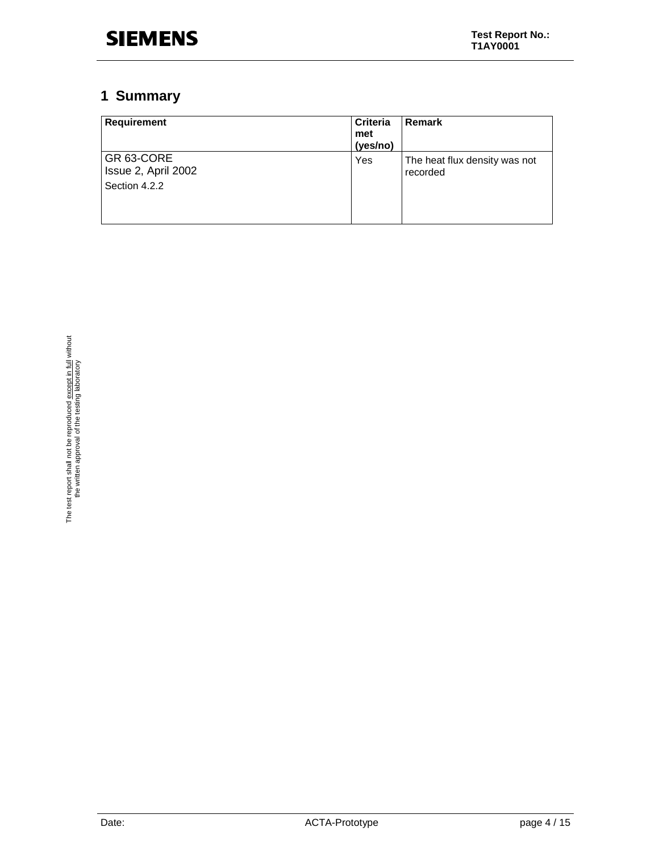## **1 Summary**

| <b>Requirement</b>                                 | <b>Criteria</b><br>met<br>(yes/no) | Remark                                    |
|----------------------------------------------------|------------------------------------|-------------------------------------------|
| GR 63-CORE<br>Issue 2, April 2002<br>Section 4.2.2 | Yes                                | The heat flux density was not<br>recorded |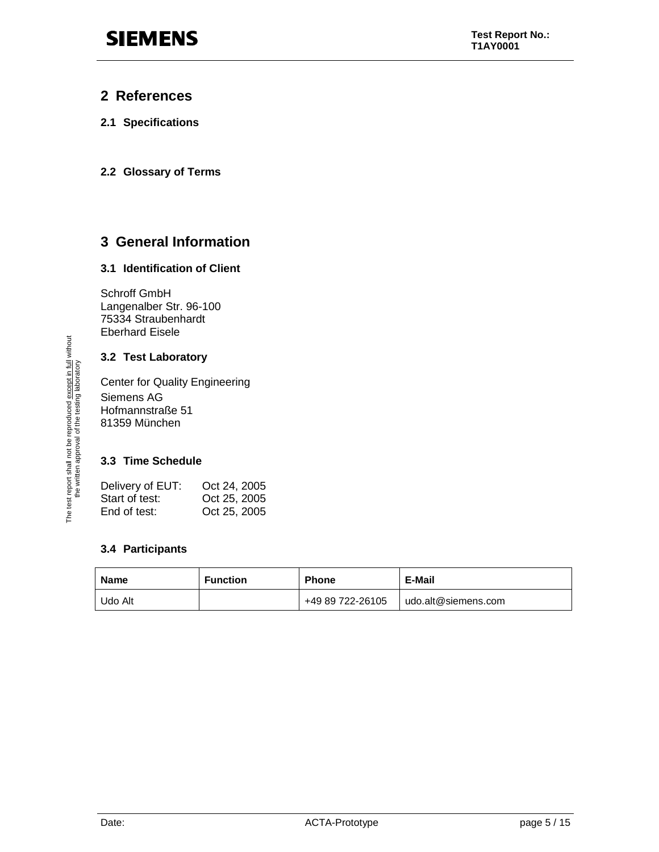### **2 References**

**2.1 Specifications** 

**2.2 Glossary of Terms** 

### **3 General Information**

### **3.1 Identification of Client**

Schroff GmbH Langenalber Str. 96-100 75334 Straubenhardt Eberhard Eisele

### **3.2 Test Laboratory**

Center for Quality Engineering Siemens AG Hofmannstraße 51 81359 München

### **3.3 Time Schedule**

| Delivery of EUT: | Oct 24, 2005 |
|------------------|--------------|
| Start of test:   | Oct 25, 2005 |
| End of test:     | Oct 25, 2005 |

### **3.4 Participants**

| <b>Name</b> | <b>Function</b> | <b>Phone</b>     | E-Mail              |
|-------------|-----------------|------------------|---------------------|
| Udo Alt     |                 | +49 89 722-26105 | udo.alt@siemens.com |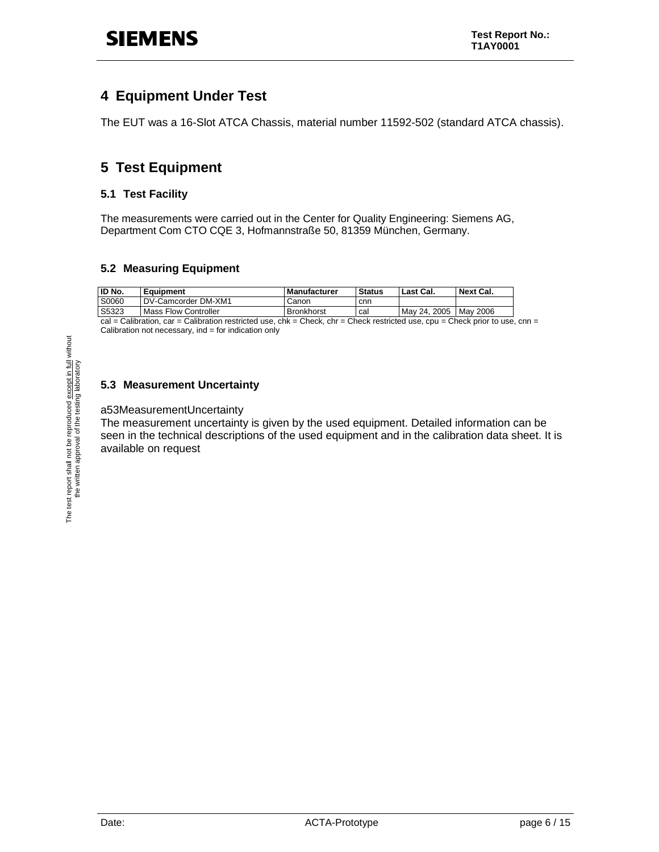### **4 Equipment Under Test**

The EUT was a 16-Slot ATCA Chassis, material number 11592-502 (standard ATCA chassis).

### **5 Test Equipment**

#### **5.1 Test Facility**

The measurements were carried out in the Center for Quality Engineering: Siemens AG, Department Com CTO CQE 3, Hofmannstraße 50, 81359 München, Germany.

### **5.2 Measuring Equipment**

**5.3 Measurement Uncertainty** 

a53MeasurementUncertainty

available on request

| ID No. | Equipment                     | <b>Manufacturer</b> | <b>Status</b> | Last Cal.    | Next Cal. |
|--------|-------------------------------|---------------------|---------------|--------------|-----------|
| S0060  | DV-Camcorder DM-XM1           | Canon               | cnn           |              |           |
| S5323  | <b>I Mass Flow Controller</b> | <b>Bronkhorst</b>   | cal           | May 24, 2005 | May 2006  |

 $cal =$  Calibration, car = Calibration restricted use,  $chr = Check$ ,  $chr = Check$  restricted use,  $cpu = Check$  prior to use,  $cnn =$ Calibration not necessary, ind = for indication only

The measurement uncertainty is given by the used equipment. Detailed information can be seen in the technical descriptions of the used equipment and in the calibration data sheet. It is

# The test report shall not be reproduced <u>except in full</u> without<br>the written approval of the testing laboratory The test report shall not be reproduced except in full without the written approval of the testing laboratory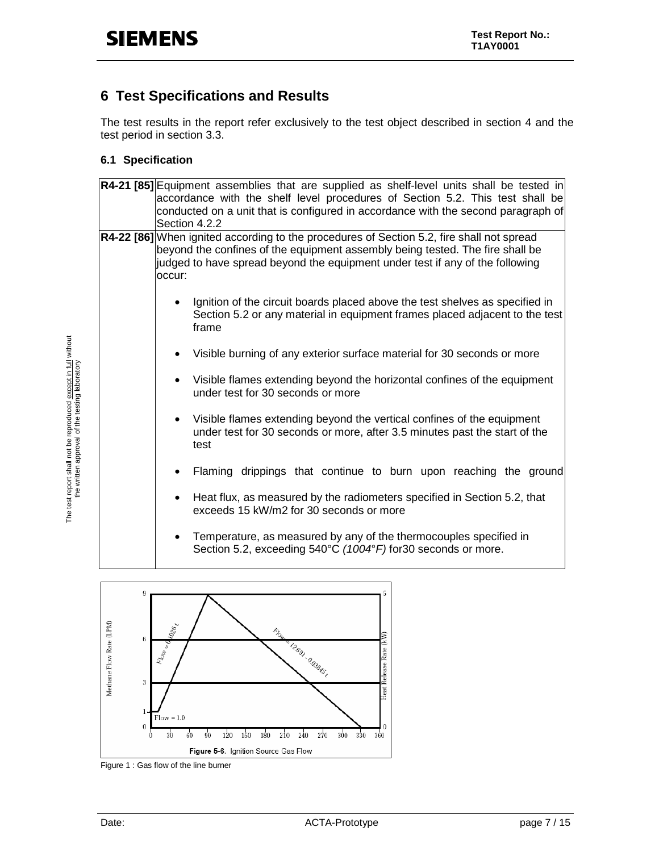### **6 Test Specifications and Results**

The test results in the report refer exclusively to the test object described in section 4 and the test period in section 3.3.

### **6.1 Specification**

| R4-21 [85] Equipment assemblies that are supplied as shelf-level units shall be tested in                                                                                                                                                                             |
|-----------------------------------------------------------------------------------------------------------------------------------------------------------------------------------------------------------------------------------------------------------------------|
| accordance with the shelf level procedures of Section 5.2. This test shall be<br>conducted on a unit that is configured in accordance with the second paragraph of                                                                                                    |
| Section 4.2.2                                                                                                                                                                                                                                                         |
| R4-22 [86] When ignited according to the procedures of Section 5.2, fire shall not spread<br>beyond the confines of the equipment assembly being tested. The fire shall be<br>judged to have spread beyond the equipment under test if any of the following<br>occur: |
| Ignition of the circuit boards placed above the test shelves as specified in<br>Section 5.2 or any material in equipment frames placed adjacent to the test<br>frame                                                                                                  |
| Visible burning of any exterior surface material for 30 seconds or more                                                                                                                                                                                               |
| Visible flames extending beyond the horizontal confines of the equipment<br>under test for 30 seconds or more                                                                                                                                                         |
| Visible flames extending beyond the vertical confines of the equipment<br>$\bullet$<br>under test for 30 seconds or more, after 3.5 minutes past the start of the<br>test                                                                                             |
| Flaming drippings that continue to burn upon reaching the ground<br>$\bullet$                                                                                                                                                                                         |
| Heat flux, as measured by the radiometers specified in Section 5.2, that<br>exceeds 15 kW/m2 for 30 seconds or more                                                                                                                                                   |
| Temperature, as measured by any of the thermocouples specified in<br>Section 5.2, exceeding 540°C (1004°F) for 30 seconds or more.                                                                                                                                    |
|                                                                                                                                                                                                                                                                       |



Figure 1 : Gas flow of the line burner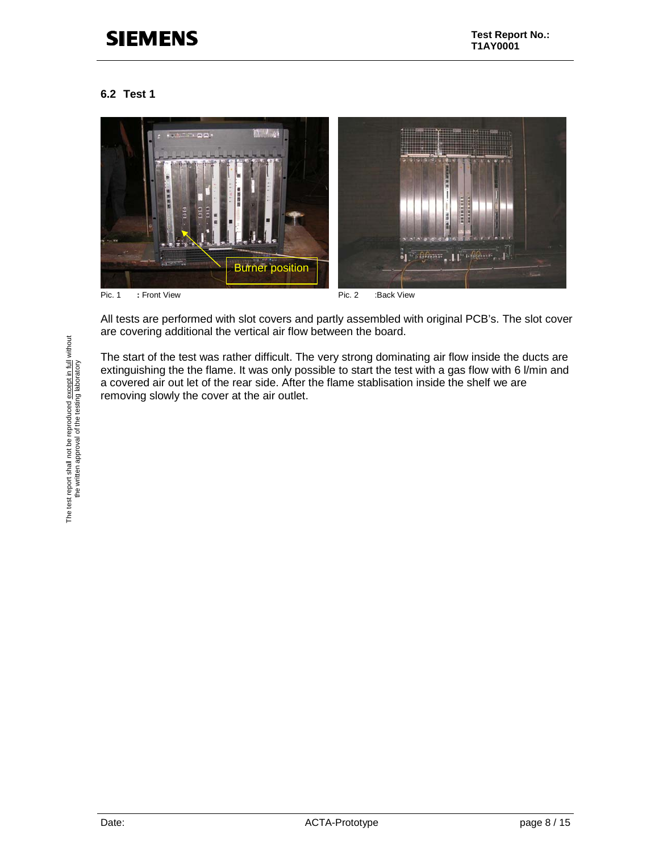### **6.2 Test 1**



All tests are performed with slot covers and partly assembled with original PCB's. The slot cover are covering additional the vertical air flow between the board.

The start of the test was rather difficult. The very strong dominating air flow inside the ducts are extinguishing the the flame. It was only possible to start the test with a gas flow with 6 l/min and a covered air out let of the rear side. After the flame stablisation inside the shelf we are removing slowly the cover at the air outlet.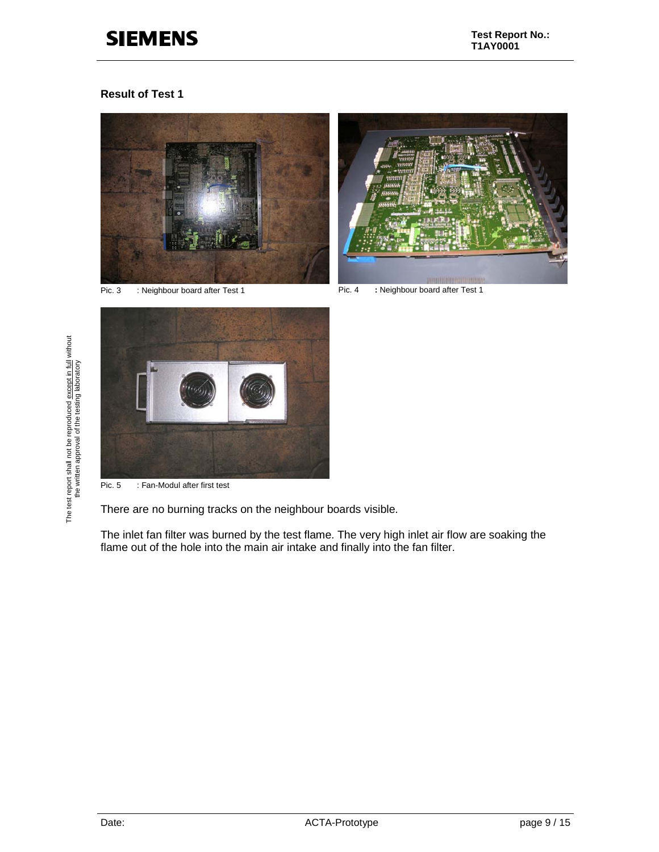### **Result of Test 1**





Pic. 5 : Fan-Modul after first test

The test report shall not be reproduced except in full without the written approval of the testing laboratory

The test report shall not be reproduced <u>except in full</u> without<br>the written approval of the testing laboratory

There are no burning tracks on the neighbour boards visible.

The inlet fan filter was burned by the test flame. The very high inlet air flow are soaking the flame out of the hole into the main air intake and finally into the fan filter.

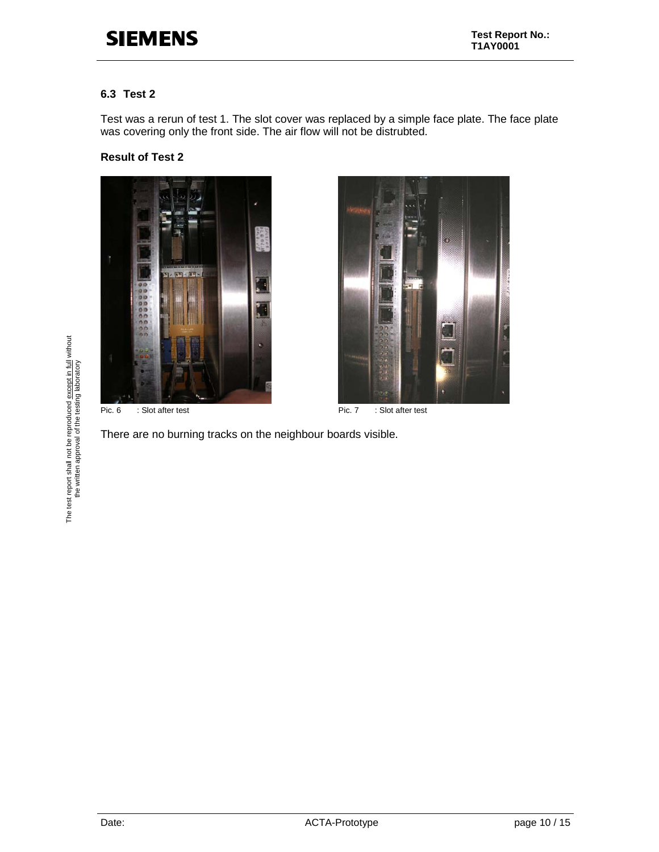### **6.3 Test 2**

Test was a rerun of test 1. The slot cover was replaced by a simple face plate. The face plate was covering only the front side. The air flow will not be distrubted.

**Result of Test 2** 





Pic. 6 : Slot after test Pic. 7 : Slot after test

There are no burning tracks on the neighbour boards visible.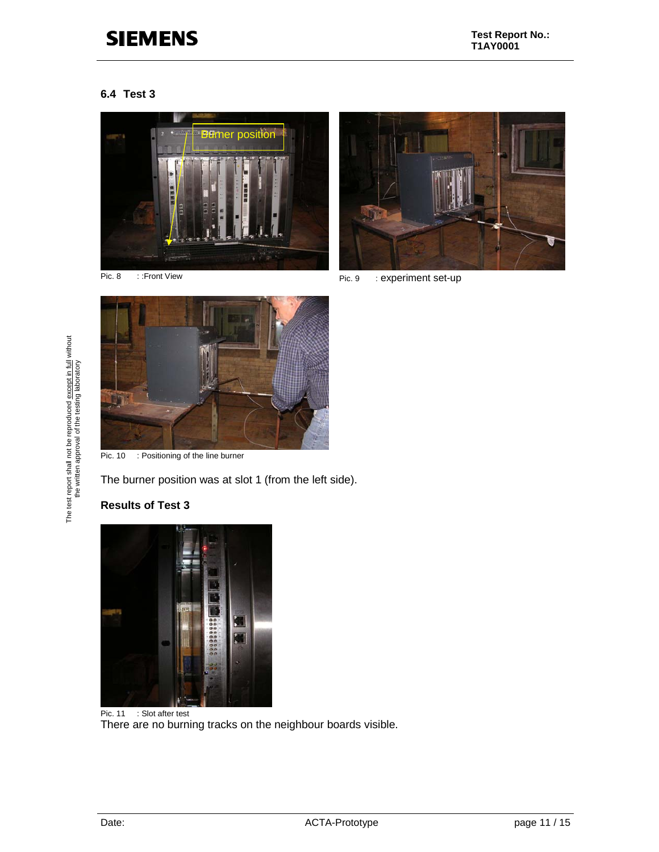#### **6.4 Test 3**





Pic. 8 : : Front View **Pic. 9 : experiment set-up** 



Pic. 10 : Positioning of the line burner

The burner position was at slot 1 (from the left side).

### **Results of Test 3**



Pic. 11 : Slot after test There are no burning tracks on the neighbour boards visible.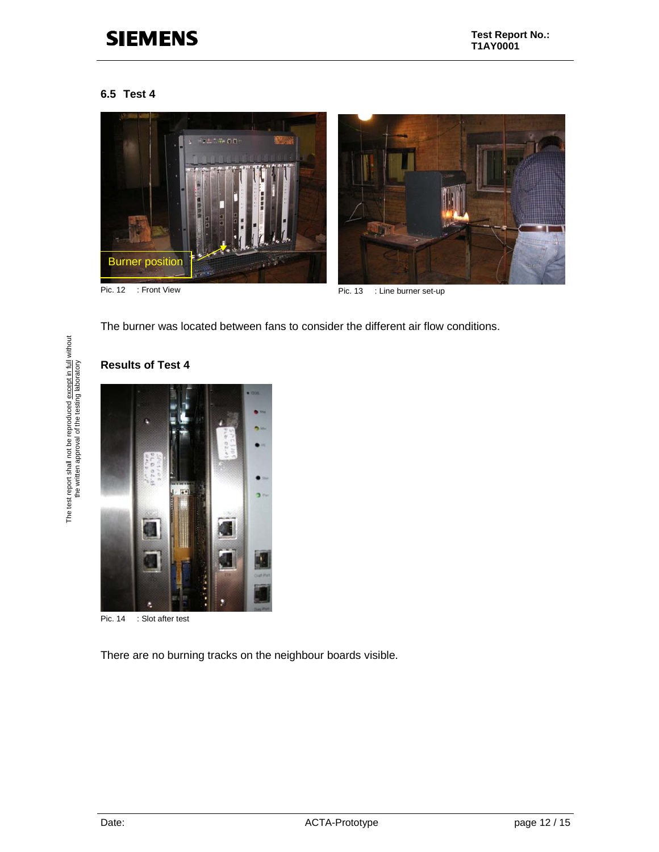#### **6.5 Test 4**



The burner was located between fans to consider the different air flow conditions.

### **Results of Test 4**



Pic. 14 : Slot after test

There are no burning tracks on the neighbour boards visible.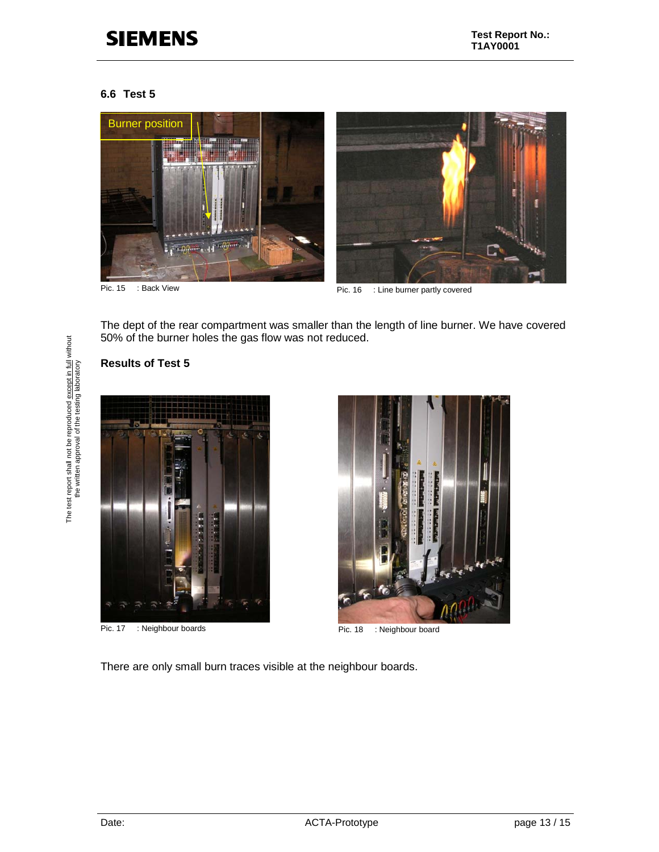#### **6.6 Test 5**



Pic. 15 : Back View **Pic. 16** : Line burner partly covered

The dept of the rear compartment was smaller than the length of line burner. We have covered 50% of the burner holes the gas flow was not reduced.

### **Results of Test 5**



Pic. 17 : Neighbour boards **Pic. 18** : Neighbour board



There are only small burn traces visible at the neighbour boards.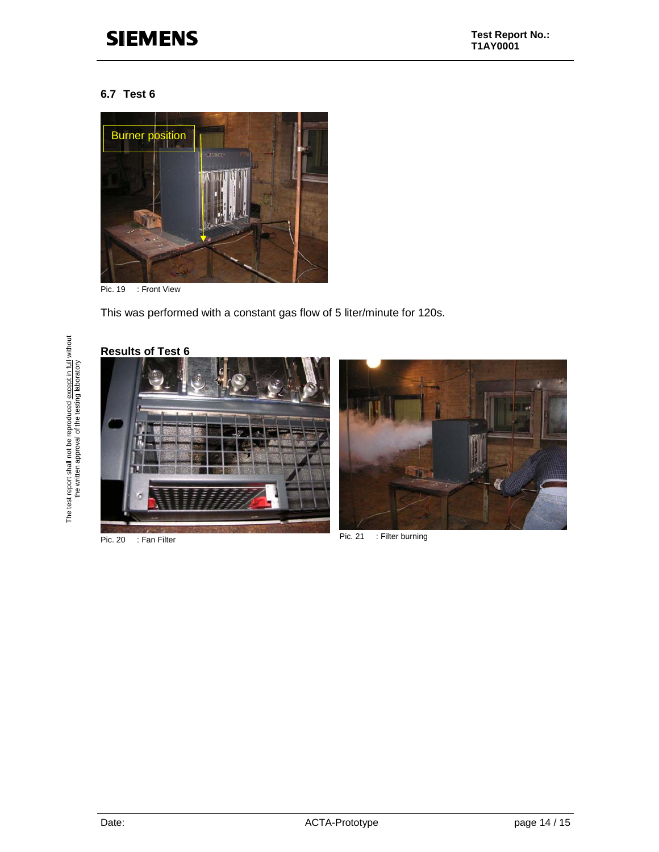### **6.7 Test 6**



Pic. 19 : Front View

This was performed with a constant gas flow of 5 liter/minute for 120s.

### **Results of Test 6**





Pic. 20 : Fan Filter Pic. 20 : Fan Filter Pic. 21 : Filter burning